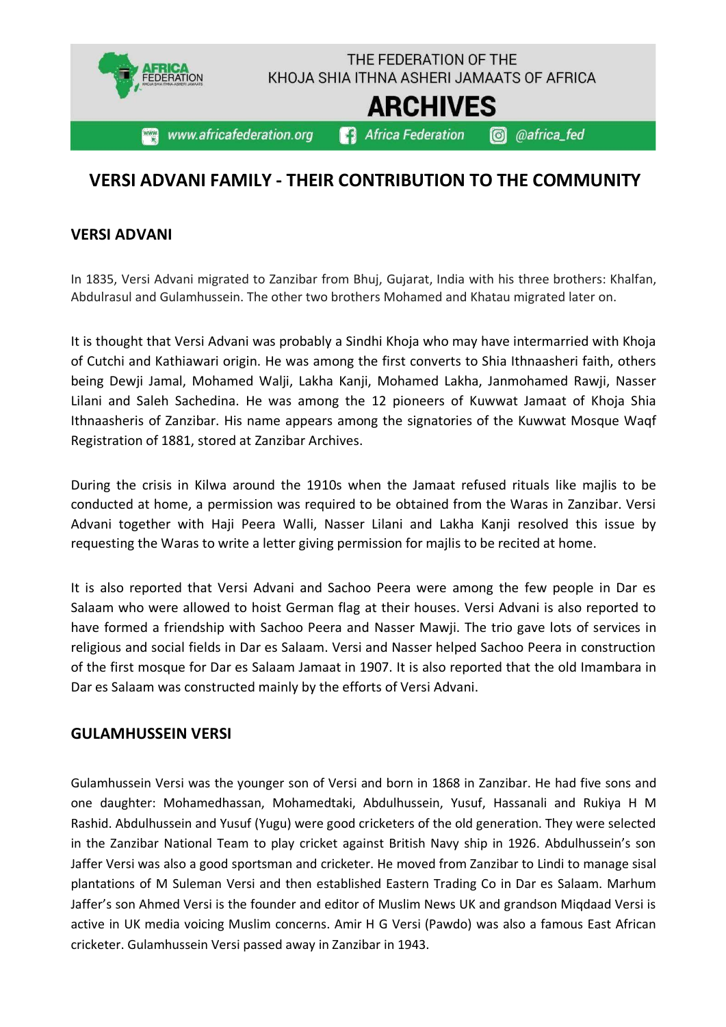

## **VERSI ADVANI FAMILY - THEIR CONTRIBUTION TO THE COMMUNITY**

#### **VERSI ADVANI**

In 1835, Versi Advani migrated to Zanzibar from Bhuj, Gujarat, India with his three brothers: Khalfan, Abdulrasul and Gulamhussein. The other two brothers Mohamed and Khatau migrated later on.

It is thought that Versi Advani was probably a Sindhi Khoja who may have intermarried with Khoja of Cutchi and Kathiawari origin. He was among the first converts to Shia Ithnaasheri faith, others being Dewji Jamal, Mohamed Walji, Lakha Kanji, Mohamed Lakha, Janmohamed Rawji, Nasser Lilani and Saleh Sachedina. He was among the 12 pioneers of Kuwwat Jamaat of Khoja Shia Ithnaasheris of Zanzibar. His name appears among the signatories of the Kuwwat Mosque Waqf Registration of 1881, stored at Zanzibar Archives.

During the crisis in Kilwa around the 1910s when the Jamaat refused rituals like majlis to be conducted at home, a permission was required to be obtained from the Waras in Zanzibar. Versi Advani together with Haji Peera Walli, Nasser Lilani and Lakha Kanji resolved this issue by requesting the Waras to write a letter giving permission for majlis to be recited at home.

It is also reported that Versi Advani and Sachoo Peera were among the few people in Dar es Salaam who were allowed to hoist German flag at their houses. Versi Advani is also reported to have formed a friendship with Sachoo Peera and Nasser Mawji. The trio gave lots of services in religious and social fields in Dar es Salaam. Versi and Nasser helped Sachoo Peera in construction of the first mosque for Dar es Salaam Jamaat in 1907. It is also reported that the old Imambara in Dar es Salaam was constructed mainly by the efforts of Versi Advani.

#### **GULAMHUSSEIN VERSI**

Gulamhussein Versi was the younger son of Versi and born in 1868 in Zanzibar. He had five sons and one daughter: Mohamedhassan, Mohamedtaki, Abdulhussein, Yusuf, Hassanali and Rukiya H M Rashid. Abdulhussein and Yusuf (Yugu) were good cricketers of the old generation. They were selected in the Zanzibar National Team to play cricket against British Navy ship in 1926. Abdulhussein's son Jaffer Versi was also a good sportsman and cricketer. He moved from Zanzibar to Lindi to manage sisal plantations of M Suleman Versi and then established Eastern Trading Co in Dar es Salaam. Marhum Jaffer's son Ahmed Versi is the founder and editor of Muslim News UK and grandson Miqdaad Versi is active in UK media voicing Muslim concerns. Amir H G Versi (Pawdo) was also a famous East African cricketer. Gulamhussein Versi passed away in Zanzibar in 1943.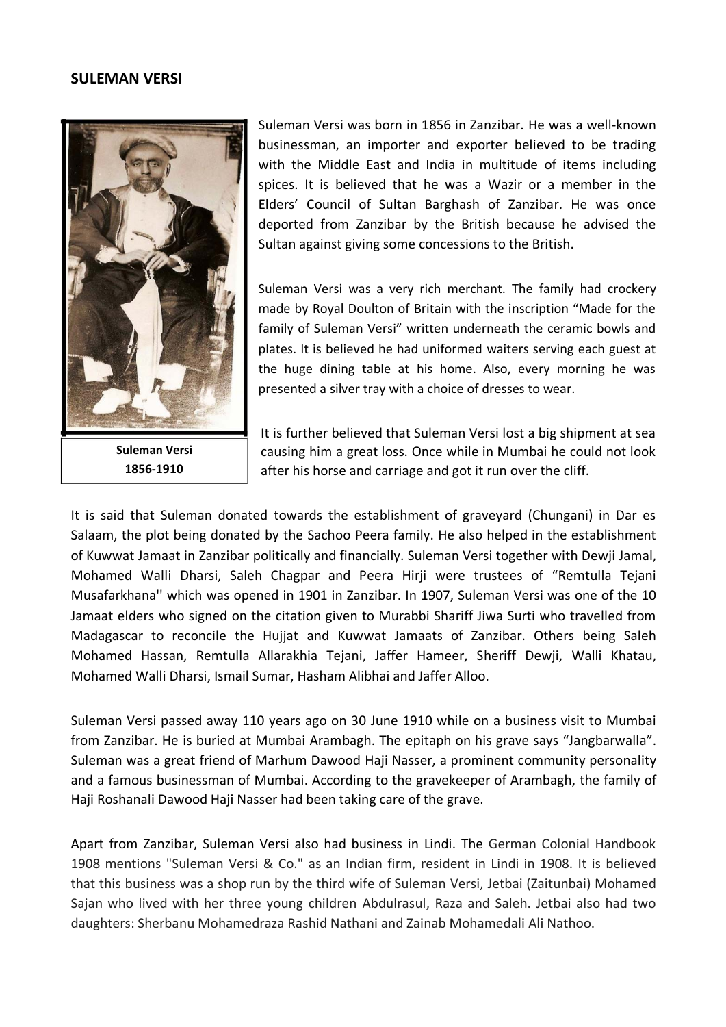#### **SULEMAN VERSI**



**Suleman Versi 1856-1910**

Suleman Versi was born in 1856 in Zanzibar. He was a well-known businessman, an importer and exporter believed to be trading with the Middle East and India in multitude of items including spices. It is believed that he was a Wazir or a member in the Elders' Council of Sultan Barghash of Zanzibar. He was once deported from Zanzibar by the British because he advised the Sultan against giving some concessions to the British.

Suleman Versi was a very rich merchant. The family had crockery made by Royal Doulton of Britain with the inscription "Made for the family of Suleman Versi" written underneath the ceramic bowls and plates. It is believed he had uniformed waiters serving each guest at the huge dining table at his home. Also, every morning he was presented a silver tray with a choice of dresses to wear.

It is further believed that Suleman Versi lost a big shipment at sea causing him a great loss. Once while in Mumbai he could not look after his horse and carriage and got it run over the cliff.

It is said that Suleman donated towards the establishment of graveyard (Chungani) in Dar es Salaam, the plot being donated by the Sachoo Peera family. He also helped in the establishment of Kuwwat Jamaat in Zanzibar politically and financially. Suleman Versi together with Dewji Jamal, Mohamed Walli Dharsi, Saleh Chagpar and Peera Hirji were trustees of "Remtulla Tejani Musafarkhana'' which was opened in 1901 in Zanzibar. In 1907, Suleman Versi was one of the 10 Jamaat elders who signed on the citation given to Murabbi Shariff Jiwa Surti who travelled from Madagascar to reconcile the Hujjat and Kuwwat Jamaats of Zanzibar. Others being Saleh Mohamed Hassan, Remtulla Allarakhia Tejani, Jaffer Hameer, Sheriff Dewji, Walli Khatau, Mohamed Walli Dharsi, Ismail Sumar, Hasham Alibhai and Jaffer Alloo.

Suleman Versi passed away 110 years ago on 30 June 1910 while on a business visit to Mumbai from Zanzibar. He is buried at Mumbai Arambagh. The epitaph on his grave says "Jangbarwalla". Suleman was a great friend of Marhum Dawood Haji Nasser, a prominent community personality and a famous businessman of Mumbai. According to the gravekeeper of Arambagh, the family of Haji Roshanali Dawood Haji Nasser had been taking care of the grave.

Apart from Zanzibar, Suleman Versi also had business in Lindi. The German Colonial Handbook 1908 mentions "Suleman Versi & Co." as an Indian firm, resident in Lindi in 1908. It is believed that this business was a shop run by the third wife of Suleman Versi, Jetbai (Zaitunbai) Mohamed Sajan who lived with her three young children Abdulrasul, Raza and Saleh. Jetbai also had two daughters: Sherbanu Mohamedraza Rashid Nathani and Zainab Mohamedali Ali Nathoo.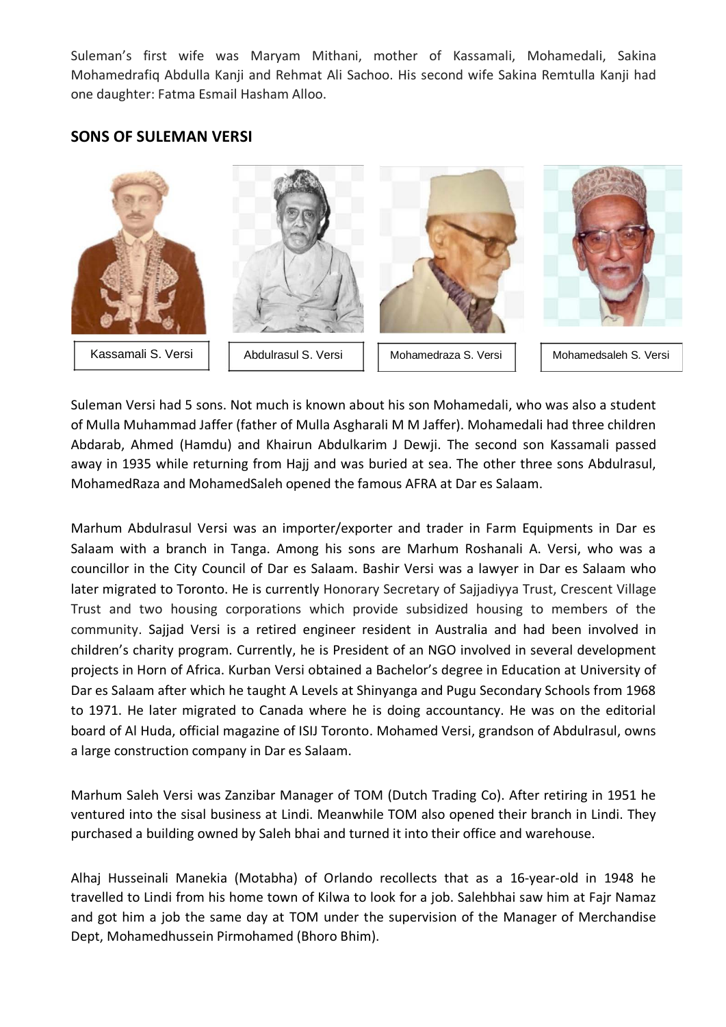Suleman's first wife was Maryam Mithani, mother of Kassamali, Mohamedali, Sakina Mohamedrafiq Abdulla Kanji and Rehmat Ali Sachoo. His second wife Sakina Remtulla Kanji had one daughter: Fatma Esmail Hasham Alloo.

#### **SONS OF SULEMAN VERSI**



Suleman Versi had 5 sons. Not much is known about his son Mohamedali, who was also a student of Mulla Muhammad Jaffer (father of Mulla Asgharali M M Jaffer). Mohamedali had three children Abdarab, Ahmed (Hamdu) and Khairun Abdulkarim J Dewji. The second son Kassamali passed away in 1935 while returning from Hajj and was buried at sea. The other three sons Abdulrasul, MohamedRaza and MohamedSaleh opened the famous AFRA at Dar es Salaam.

Marhum Abdulrasul Versi was an importer/exporter and trader in Farm Equipments in Dar es Salaam with a branch in Tanga. Among his sons are Marhum Roshanali A. Versi, who was a councillor in the City Council of Dar es Salaam. Bashir Versi was a lawyer in Dar es Salaam who later migrated to Toronto. He is currently Honorary Secretary of Sajjadiyya Trust, Crescent Village Trust and two housing corporations which provide subsidized housing to members of the community. Sajjad Versi is a retired engineer resident in Australia and had been involved in children's charity program. Currently, he is President of an NGO involved in several development projects in Horn of Africa. Kurban Versi obtained a Bachelor's degree in Education at University of Dar es Salaam after which he taught A Levels at Shinyanga and Pugu Secondary Schools from 1968 to 1971. He later migrated to Canada where he is doing accountancy. He was on the editorial board of Al Huda, official magazine of ISIJ Toronto. Mohamed Versi, grandson of Abdulrasul, owns a large construction company in Dar es Salaam.

Marhum Saleh Versi was Zanzibar Manager of TOM (Dutch Trading Co). After retiring in 1951 he ventured into the sisal business at Lindi. Meanwhile TOM also opened their branch in Lindi. They purchased a building owned by Saleh bhai and turned it into their office and warehouse.

Alhaj Husseinali Manekia (Motabha) of Orlando recollects that as a 16-year-old in 1948 he travelled to Lindi from his home town of Kilwa to look for a job. Salehbhai saw him at Fajr Namaz and got him a job the same day at TOM under the supervision of the Manager of Merchandise Dept, Mohamedhussein Pirmohamed (Bhoro Bhim).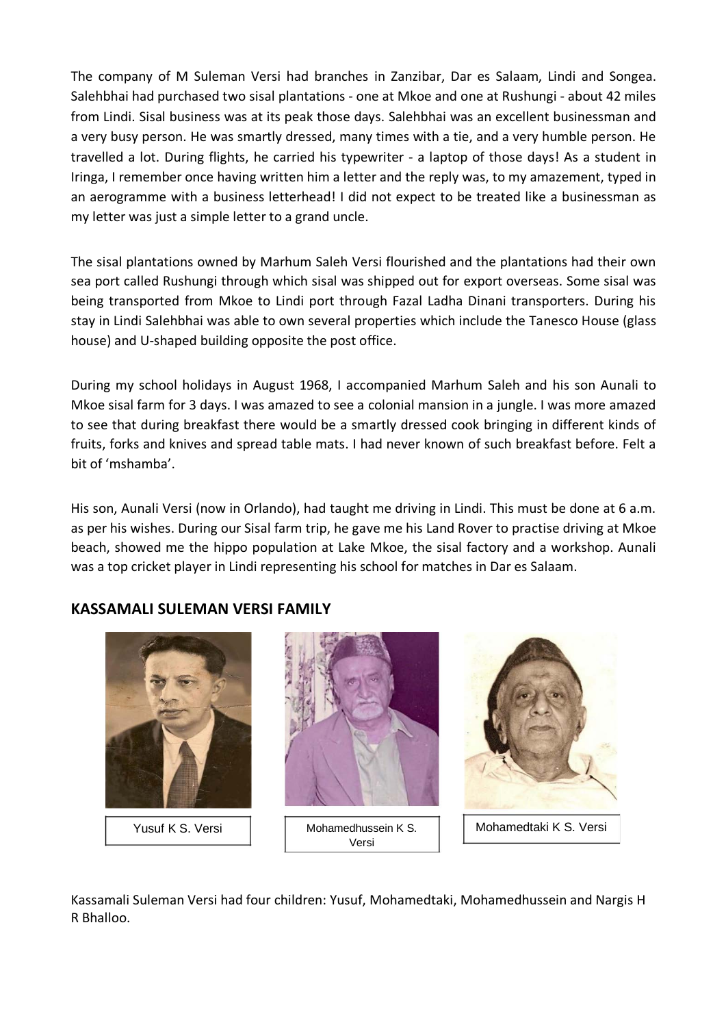The company of M Suleman Versi had branches in Zanzibar, Dar es Salaam, Lindi and Songea. Salehbhai had purchased two sisal plantations - one at Mkoe and one at Rushungi - about 42 miles from Lindi. Sisal business was at its peak those days. Salehbhai was an excellent businessman and a very busy person. He was smartly dressed, many times with a tie, and a very humble person. He travelled a lot. During flights, he carried his typewriter - a laptop of those days! As a student in Iringa, I remember once having written him a letter and the reply was, to my amazement, typed in an aerogramme with a business letterhead! I did not expect to be treated like a businessman as my letter was just a simple letter to a grand uncle.

The sisal plantations owned by Marhum Saleh Versi flourished and the plantations had their own sea port called Rushungi through which sisal was shipped out for export overseas. Some sisal was being transported from Mkoe to Lindi port through Fazal Ladha Dinani transporters. During his stay in Lindi Salehbhai was able to own several properties which include the Tanesco House (glass house) and U-shaped building opposite the post office.

During my school holidays in August 1968, I accompanied Marhum Saleh and his son Aunali to Mkoe sisal farm for 3 days. I was amazed to see a colonial mansion in a jungle. I was more amazed to see that during breakfast there would be a smartly dressed cook bringing in different kinds of fruits, forks and knives and spread table mats. I had never known of such breakfast before. Felt a bit of 'mshamba'.

His son, Aunali Versi (now in Orlando), had taught me driving in Lindi. This must be done at 6 a.m. as per his wishes. During our Sisal farm trip, he gave me his Land Rover to practise driving at Mkoe beach, showed me the hippo population at Lake Mkoe, the sisal factory and a workshop. Aunali was a top cricket player in Lindi representing his school for matches in Dar es Salaam.

#### **KASSAMALI SULEMAN VERSI FAMILY**



Kassamali Suleman Versi had four children: Yusuf, Mohamedtaki, Mohamedhussein and Nargis H R Bhalloo.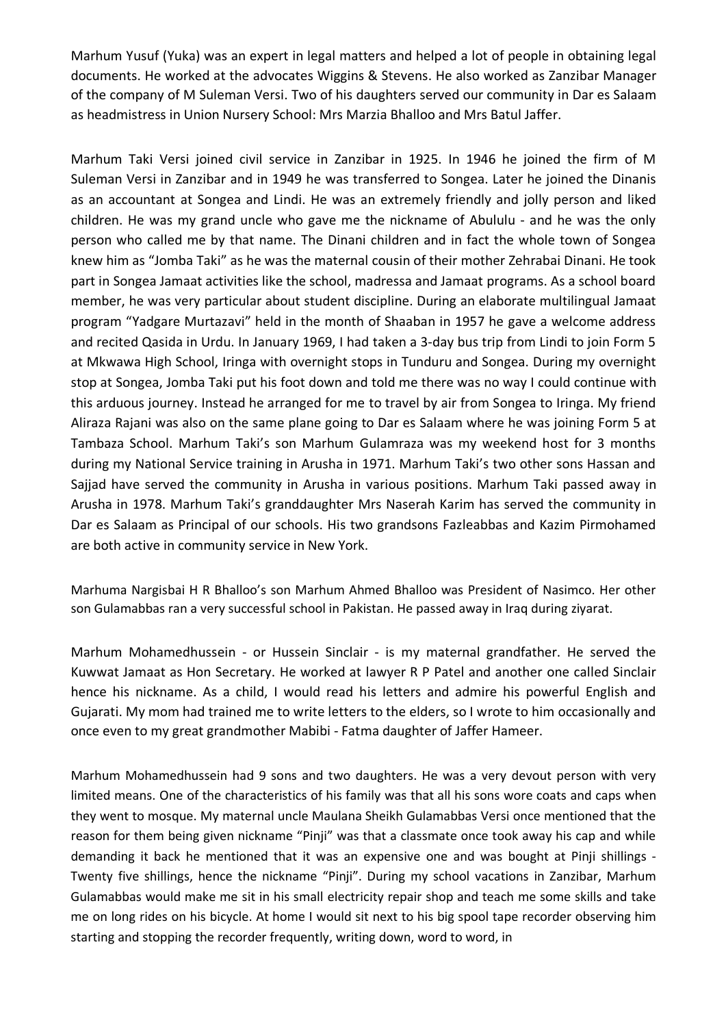Marhum Yusuf (Yuka) was an expert in legal matters and helped a lot of people in obtaining legal documents. He worked at the advocates Wiggins & Stevens. He also worked as Zanzibar Manager of the company of M Suleman Versi. Two of his daughters served our community in Dar es Salaam as headmistress in Union Nursery School: Mrs Marzia Bhalloo and Mrs Batul Jaffer.

Marhum Taki Versi joined civil service in Zanzibar in 1925. In 1946 he joined the firm of M Suleman Versi in Zanzibar and in 1949 he was transferred to Songea. Later he joined the Dinanis as an accountant at Songea and Lindi. He was an extremely friendly and jolly person and liked children. He was my grand uncle who gave me the nickname of Abululu - and he was the only person who called me by that name. The Dinani children and in fact the whole town of Songea knew him as "Jomba Taki" as he was the maternal cousin of their mother Zehrabai Dinani. He took part in Songea Jamaat activities like the school, madressa and Jamaat programs. As a school board member, he was very particular about student discipline. During an elaborate multilingual Jamaat program "Yadgare Murtazavi" held in the month of Shaaban in 1957 he gave a welcome address and recited Qasida in Urdu. In January 1969, I had taken a 3-day bus trip from Lindi to join Form 5 at Mkwawa High School, Iringa with overnight stops in Tunduru and Songea. During my overnight stop at Songea, Jomba Taki put his foot down and told me there was no way I could continue with this arduous journey. Instead he arranged for me to travel by air from Songea to Iringa. My friend Aliraza Rajani was also on the same plane going to Dar es Salaam where he was joining Form 5 at Tambaza School. Marhum Taki's son Marhum Gulamraza was my weekend host for 3 months during my National Service training in Arusha in 1971. Marhum Taki's two other sons Hassan and Sajjad have served the community in Arusha in various positions. Marhum Taki passed away in Arusha in 1978. Marhum Taki's granddaughter Mrs Naserah Karim has served the community in Dar es Salaam as Principal of our schools. His two grandsons Fazleabbas and Kazim Pirmohamed are both active in community service in New York.

Marhuma Nargisbai H R Bhalloo's son Marhum Ahmed Bhalloo was President of Nasimco. Her other son Gulamabbas ran a very successful school in Pakistan. He passed away in Iraq during ziyarat.

Marhum Mohamedhussein - or Hussein Sinclair - is my maternal grandfather. He served the Kuwwat Jamaat as Hon Secretary. He worked at lawyer R P Patel and another one called Sinclair hence his nickname. As a child, I would read his letters and admire his powerful English and Gujarati. My mom had trained me to write letters to the elders, so I wrote to him occasionally and once even to my great grandmother Mabibi - Fatma daughter of Jaffer Hameer.

Marhum Mohamedhussein had 9 sons and two daughters. He was a very devout person with very limited means. One of the characteristics of his family was that all his sons wore coats and caps when they went to mosque. My maternal uncle Maulana Sheikh Gulamabbas Versi once mentioned that the reason for them being given nickname "Pinji" was that a classmate once took away his cap and while demanding it back he mentioned that it was an expensive one and was bought at Pinji shillings - Twenty five shillings, hence the nickname "Pinji". During my school vacations in Zanzibar, Marhum Gulamabbas would make me sit in his small electricity repair shop and teach me some skills and take me on long rides on his bicycle. At home I would sit next to his big spool tape recorder observing him starting and stopping the recorder frequently, writing down, word to word, in